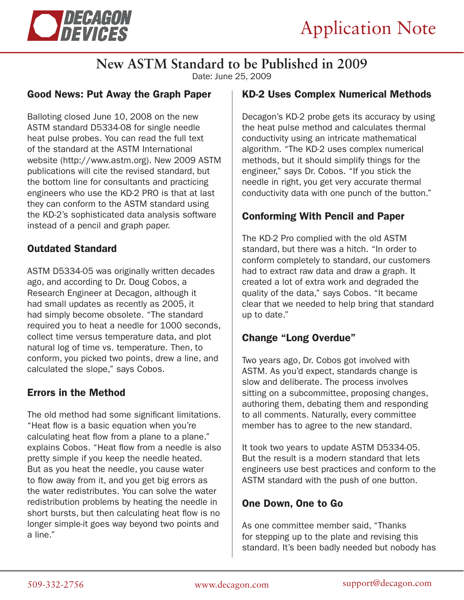

# **New ASTM Standard to be Published in 2009**

Date: June 25, 2009

#### Good News: Put Away the Graph Paper

Balloting closed June 10, 2008 on the new ASTM standard D5334-08 for single needle heat pulse probes. You can read the full text of the standard at the ASTM International website (http://www.astm.org). New 2009 ASTM publications will cite the revised standard, but the bottom line for consultants and practicing engineers who use the KD-2 PRO is that at last they can conform to the ASTM standard using the KD-2's sophisticated data analysis software instead of a pencil and graph paper.

## Outdated Standard

ASTM D5334-05 was originally written decades ago, and according to Dr. Doug Cobos, a Research Engineer at Decagon, although it had small updates as recently as 2005, it had simply become obsolete. "The standard required you to heat a needle for 1000 seconds, collect time versus temperature data, and plot natural log of time vs. temperature. Then, to conform, you picked two points, drew a line, and calculated the slope," says Cobos.

## Errors in the Method

The old method had some significant limitations. "Heat flow is a basic equation when you're calculating heat flow from a plane to a plane." explains Cobos. "Heat flow from a needle is also pretty simple if you keep the needle heated. But as you heat the needle, you cause water to flow away from it, and you get big errors as the water redistributes. You can solve the water redistribution problems by heating the needle in short bursts, but then calculating heat flow is no longer simple-it goes way beyond two points and a line."

#### KD-2 Uses Complex Numerical Methods

Decagon's KD-2 probe gets its accuracy by using the heat pulse method and calculates thermal conductivity using an intricate mathematical algorithm. "The KD-2 uses complex numerical methods, but it should simplify things for the engineer," says Dr. Cobos. "If you stick the needle in right, you get very accurate thermal conductivity data with one punch of the button."

## Conforming With Pencil and Paper

The KD-2 Pro complied with the old ASTM standard, but there was a hitch. "In order to conform completely to standard, our customers had to extract raw data and draw a graph. It created a lot of extra work and degraded the quality of the data," says Cobos. "It became clear that we needed to help bring that standard up to date."

## Change "Long Overdue"

Two years ago, Dr. Cobos got involved with ASTM. As you'd expect, standards change is slow and deliberate. The process involves sitting on a subcommittee, proposing changes, authoring them, debating them and responding to all comments. Naturally, every committee member has to agree to the new standard.

It took two years to update ASTM D5334-05. But the result is a modern standard that lets engineers use best practices and conform to the ASTM standard with the push of one button.

## One Down, One to Go

As one committee member said, "Thanks for stepping up to the plate and revising this standard. It's been badly needed but nobody has